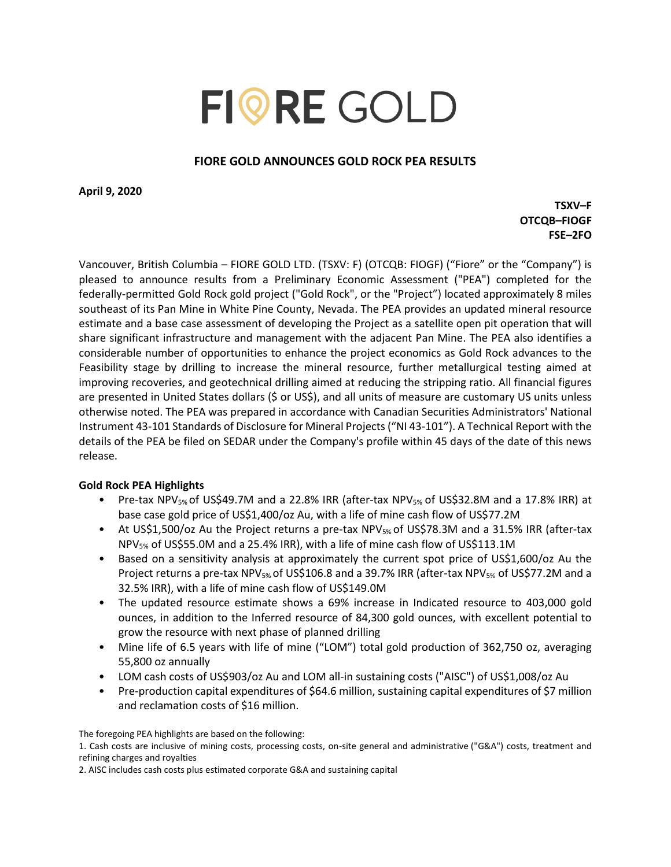# **FIORE GOLD**

# **FIORE GOLD ANNOUNCES GOLD ROCK PEA RESULTS**

**April 9, 2020**

# **TSXV–F OTCQB–FIOGF FSE–2FO**

Vancouver, British Columbia – FIORE GOLD LTD. (TSXV: F) (OTCQB: FIOGF) ("Fiore" or the "Company") is pleased to announce results from a Preliminary Economic Assessment ("PEA") completed for the federally-permitted Gold Rock gold project ("Gold Rock", or the "Project") located approximately 8 miles southeast of its Pan Mine in White Pine County, Nevada. The PEA provides an updated mineral resource estimate and a base case assessment of developing the Project as a satellite open pit operation that will share significant infrastructure and management with the adjacent Pan Mine. The PEA also identifies a considerable number of opportunities to enhance the project economics as Gold Rock advances to the Feasibility stage by drilling to increase the mineral resource, further metallurgical testing aimed at improving recoveries, and geotechnical drilling aimed at reducing the stripping ratio. All financial figures are presented in United States dollars (\$ or US\$), and all units of measure are customary US units unless otherwise noted. The PEA was prepared in accordance with Canadian Securities Administrators' National Instrument 43-101 Standards of Disclosure for Mineral Projects ("NI 43-101"). A Technical Report with the details of the PEA be filed on SEDAR under the Company's profile within 45 days of the date of this news release.

# **Gold Rock PEA Highlights**

- Pre-tax NPV<sub>5%</sub> of US\$49.7M and a 22.8% IRR (after-tax NPV<sub>5%</sub> of US\$32.8M and a 17.8% IRR) at base case gold price of US\$1,400/oz Au, with a life of mine cash flow of US\$77.2M
- At US\$1,500/oz Au the Project returns a pre-tax NPV<sub>5%</sub> of US\$78.3M and a 31.5% IRR (after-tax NPV5% of US\$55.0M and a 25.4% IRR), with a life of mine cash flow of US\$113.1M
- Based on a sensitivity analysis at approximately the current spot price of US\$1,600/oz Au the Project returns a pre-tax NPV<sub>5%</sub> of US\$106.8 and a 39.7% IRR (after-tax NPV<sub>5%</sub> of US\$77.2M and a 32.5% IRR), with a life of mine cash flow of US\$149.0M
- The updated resource estimate shows a 69% increase in Indicated resource to 403,000 gold ounces, in addition to the Inferred resource of 84,300 gold ounces, with excellent potential to grow the resource with next phase of planned drilling
- Mine life of 6.5 years with life of mine ("LOM") total gold production of 362,750 oz, averaging 55,800 oz annually
- LOM cash costs of US\$903/oz Au and LOM all-in sustaining costs ("AISC") of US\$1,008/oz Au
- Pre-production capital expenditures of \$64.6 million, sustaining capital expenditures of \$7 million and reclamation costs of \$16 million.

The foregoing PEA highlights are based on the following:

1. Cash costs are inclusive of mining costs, processing costs, on-site general and administrative ("G&A") costs, treatment and refining charges and royalties

2. AISC includes cash costs plus estimated corporate G&A and sustaining capital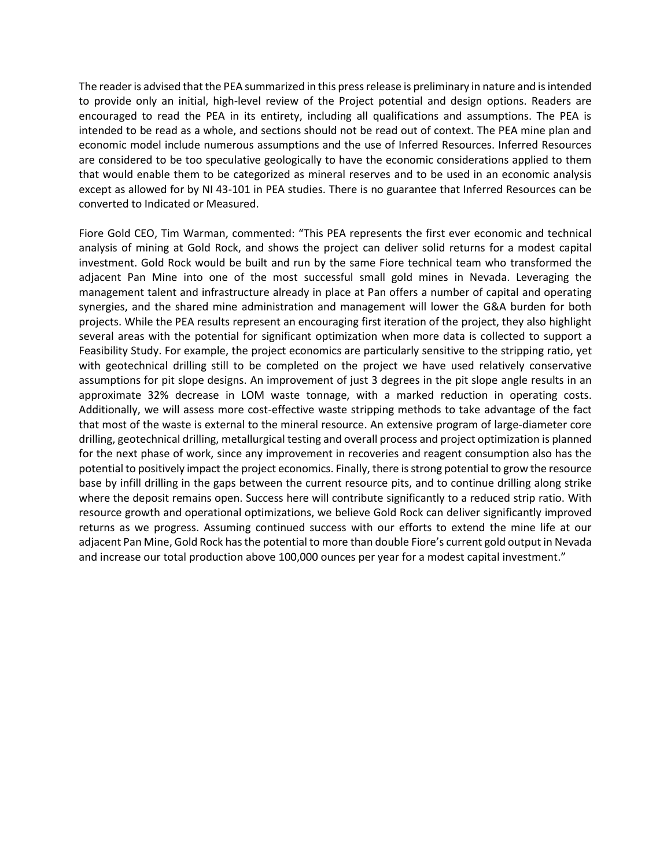The reader is advised that the PEA summarized in this press release is preliminary in nature and is intended to provide only an initial, high-level review of the Project potential and design options. Readers are encouraged to read the PEA in its entirety, including all qualifications and assumptions. The PEA is intended to be read as a whole, and sections should not be read out of context. The PEA mine plan and economic model include numerous assumptions and the use of Inferred Resources. Inferred Resources are considered to be too speculative geologically to have the economic considerations applied to them that would enable them to be categorized as mineral reserves and to be used in an economic analysis except as allowed for by NI 43-101 in PEA studies. There is no guarantee that Inferred Resources can be converted to Indicated or Measured.

Fiore Gold CEO, Tim Warman, commented: "This PEA represents the first ever economic and technical analysis of mining at Gold Rock, and shows the project can deliver solid returns for a modest capital investment. Gold Rock would be built and run by the same Fiore technical team who transformed the adjacent Pan Mine into one of the most successful small gold mines in Nevada. Leveraging the management talent and infrastructure already in place at Pan offers a number of capital and operating synergies, and the shared mine administration and management will lower the G&A burden for both projects. While the PEA results represent an encouraging first iteration of the project, they also highlight several areas with the potential for significant optimization when more data is collected to support a Feasibility Study. For example, the project economics are particularly sensitive to the stripping ratio, yet with geotechnical drilling still to be completed on the project we have used relatively conservative assumptions for pit slope designs. An improvement of just 3 degrees in the pit slope angle results in an approximate 32% decrease in LOM waste tonnage, with a marked reduction in operating costs. Additionally, we will assess more cost-effective waste stripping methods to take advantage of the fact that most of the waste is external to the mineral resource. An extensive program of large-diameter core drilling, geotechnical drilling, metallurgical testing and overall process and project optimization is planned for the next phase of work, since any improvement in recoveries and reagent consumption also has the potential to positively impact the project economics. Finally, there is strong potential to grow the resource base by infill drilling in the gaps between the current resource pits, and to continue drilling along strike where the deposit remains open. Success here will contribute significantly to a reduced strip ratio. With resource growth and operational optimizations, we believe Gold Rock can deliver significantly improved returns as we progress. Assuming continued success with our efforts to extend the mine life at our adjacent Pan Mine, Gold Rock has the potential to more than double Fiore's current gold output in Nevada and increase our total production above 100,000 ounces per year for a modest capital investment."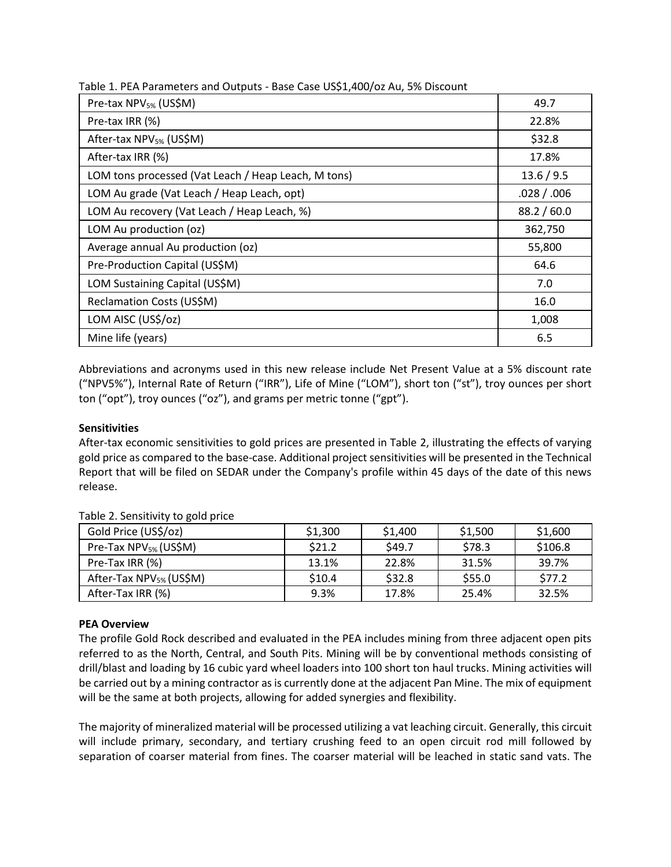| Pre-tax NPV <sub>5%</sub> (US\$M)                   | 49.7        |
|-----------------------------------------------------|-------------|
| Pre-tax IRR (%)                                     | 22.8%       |
| After-tax NPV <sub>5%</sub> (US\$M)                 | \$32.8      |
| After-tax IRR (%)                                   | 17.8%       |
| LOM tons processed (Vat Leach / Heap Leach, M tons) | 13.6 / 9.5  |
| LOM Au grade (Vat Leach / Heap Leach, opt)          | .028/.006   |
| LOM Au recovery (Vat Leach / Heap Leach, %)         | 88.2 / 60.0 |
| LOM Au production (oz)                              | 362,750     |
| Average annual Au production (oz)                   | 55,800      |
| Pre-Production Capital (US\$M)                      | 64.6        |
| LOM Sustaining Capital (US\$M)                      | 7.0         |
| Reclamation Costs (US\$M)                           | 16.0        |
| LOM AISC (US\$/oz)                                  | 1,008       |
| Mine life (years)                                   | 6.5         |

Table 1. PEA Parameters and Outputs - Base Case US\$1,400/oz Au, 5% Discount

Abbreviations and acronyms used in this new release include Net Present Value at a 5% discount rate ("NPV5%"), Internal Rate of Return ("IRR"), Life of Mine ("LOM"), short ton ("st"), troy ounces per short ton ("opt"), troy ounces ("oz"), and grams per metric tonne ("gpt").

# **Sensitivities**

After-tax economic sensitivities to gold prices are presented in Table 2, illustrating the effects of varying gold price as compared to the base-case. Additional project sensitivities will be presented in the Technical Report that will be filed on SEDAR under the Company's profile within 45 days of the date of this news release.

| Gold Price (US\$/oz)                | \$1,300 | \$1,400 | \$1,500 | \$1,600 |
|-------------------------------------|---------|---------|---------|---------|
| Pre-Tax NPV <sub>5%</sub> (US\$M)   | \$21.2  | \$49.7  | \$78.3  | \$106.8 |
| Pre-Tax IRR (%)                     | 13.1%   | 22.8%   | 31.5%   | 39.7%   |
| After-Tax NPV <sub>5%</sub> (US\$M) | \$10.4  | \$32.8  | \$55.0  | \$77.2  |
| After-Tax IRR (%)                   | 9.3%    | 17.8%   | 25.4%   | 32.5%   |

Table 2. Sensitivity to gold price

# **PEA Overview**

The profile Gold Rock described and evaluated in the PEA includes mining from three adjacent open pits referred to as the North, Central, and South Pits. Mining will be by conventional methods consisting of drill/blast and loading by 16 cubic yard wheel loaders into 100 short ton haul trucks. Mining activities will be carried out by a mining contractor as is currently done at the adjacent Pan Mine. The mix of equipment will be the same at both projects, allowing for added synergies and flexibility.

The majority of mineralized material will be processed utilizing a vat leaching circuit. Generally, this circuit will include primary, secondary, and tertiary crushing feed to an open circuit rod mill followed by separation of coarser material from fines. The coarser material will be leached in static sand vats. The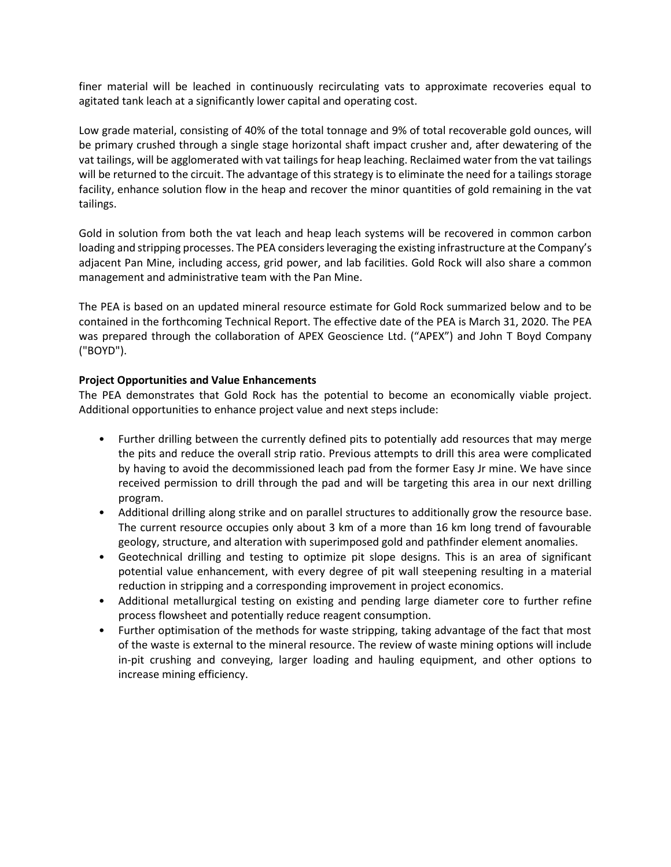finer material will be leached in continuously recirculating vats to approximate recoveries equal to agitated tank leach at a significantly lower capital and operating cost.

Low grade material, consisting of 40% of the total tonnage and 9% of total recoverable gold ounces, will be primary crushed through a single stage horizontal shaft impact crusher and, after dewatering of the vat tailings, will be agglomerated with vat tailings for heap leaching. Reclaimed water from the vat tailings will be returned to the circuit. The advantage of this strategy is to eliminate the need for a tailings storage facility, enhance solution flow in the heap and recover the minor quantities of gold remaining in the vat tailings.

Gold in solution from both the vat leach and heap leach systems will be recovered in common carbon loading and stripping processes. The PEA considers leveraging the existing infrastructure at the Company's adjacent Pan Mine, including access, grid power, and lab facilities. Gold Rock will also share a common management and administrative team with the Pan Mine.

The PEA is based on an updated mineral resource estimate for Gold Rock summarized below and to be contained in the forthcoming Technical Report. The effective date of the PEA is March 31, 2020. The PEA was prepared through the collaboration of APEX Geoscience Ltd. ("APEX") and John T Boyd Company ("BOYD").

# **Project Opportunities and Value Enhancements**

The PEA demonstrates that Gold Rock has the potential to become an economically viable project. Additional opportunities to enhance project value and next steps include:

- Further drilling between the currently defined pits to potentially add resources that may merge the pits and reduce the overall strip ratio. Previous attempts to drill this area were complicated by having to avoid the decommissioned leach pad from the former Easy Jr mine. We have since received permission to drill through the pad and will be targeting this area in our next drilling program.
- Additional drilling along strike and on parallel structures to additionally grow the resource base. The current resource occupies only about 3 km of a more than 16 km long trend of favourable geology, structure, and alteration with superimposed gold and pathfinder element anomalies.
- Geotechnical drilling and testing to optimize pit slope designs. This is an area of significant potential value enhancement, with every degree of pit wall steepening resulting in a material reduction in stripping and a corresponding improvement in project economics.
- Additional metallurgical testing on existing and pending large diameter core to further refine process flowsheet and potentially reduce reagent consumption.
- Further optimisation of the methods for waste stripping, taking advantage of the fact that most of the waste is external to the mineral resource. The review of waste mining options will include in-pit crushing and conveying, larger loading and hauling equipment, and other options to increase mining efficiency.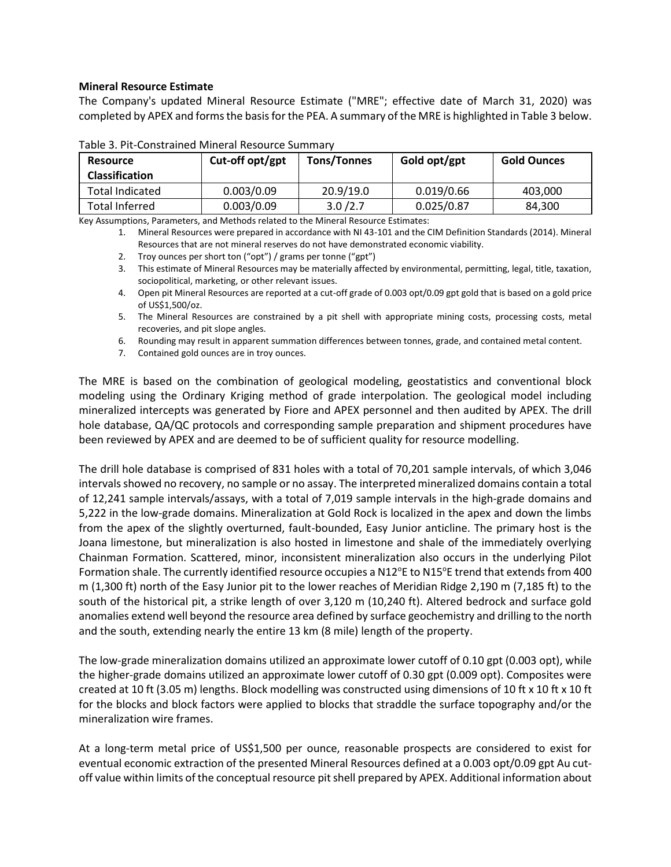#### **Mineral Resource Estimate**

The Company's updated Mineral Resource Estimate ("MRE"; effective date of March 31, 2020) was completed by APEX and forms the basis for the PEA. A summary of the MRE is highlighted in Table 3 below.

| <b>Resource</b><br><b>Classification</b> | Cut-off opt/gpt | <b>Tons/Tonnes</b> | Gold opt/gpt | <b>Gold Ounces</b> |
|------------------------------------------|-----------------|--------------------|--------------|--------------------|
| <b>Total Indicated</b>                   | 0.003/0.09      | 20.9/19.0          | 0.019/0.66   | 403,000            |
| <b>Total Inferred</b>                    | 0.003/0.09      | 3.0 / 2.7          | 0.025/0.87   | 84,300             |

Table 3. Pit-Constrained Mineral Resource Summary

Key Assumptions, Parameters, and Methods related to the Mineral Resource Estimates:

- 1. Mineral Resources were prepared in accordance with NI 43-101 and the CIM Definition Standards (2014). Mineral Resources that are not mineral reserves do not have demonstrated economic viability.
- 2. Troy ounces per short ton ("opt") / grams per tonne ("gpt")
- 3. This estimate of Mineral Resources may be materially affected by environmental, permitting, legal, title, taxation, sociopolitical, marketing, or other relevant issues.
- 4. Open pit Mineral Resources are reported at a cut-off grade of 0.003 opt/0.09 gpt gold that is based on a gold price of US\$1,500/oz.
- 5. The Mineral Resources are constrained by a pit shell with appropriate mining costs, processing costs, metal recoveries, and pit slope angles.
- 6. Rounding may result in apparent summation differences between tonnes, grade, and contained metal content.
- 7. Contained gold ounces are in troy ounces.

The MRE is based on the combination of geological modeling, geostatistics and conventional block modeling using the Ordinary Kriging method of grade interpolation. The geological model including mineralized intercepts was generated by Fiore and APEX personnel and then audited by APEX. The drill hole database, QA/QC protocols and corresponding sample preparation and shipment procedures have been reviewed by APEX and are deemed to be of sufficient quality for resource modelling.

The drill hole database is comprised of 831 holes with a total of 70,201 sample intervals, of which 3,046 intervals showed no recovery, no sample or no assay. The interpreted mineralized domains contain a total of 12,241 sample intervals/assays, with a total of 7,019 sample intervals in the high-grade domains and 5,222 in the low-grade domains. Mineralization at Gold Rock is localized in the apex and down the limbs from the apex of the slightly overturned, fault-bounded, Easy Junior anticline. The primary host is the Joana limestone, but mineralization is also hosted in limestone and shale of the immediately overlying Chainman Formation. Scattered, minor, inconsistent mineralization also occurs in the underlying Pilot Formation shale. The currently identified resource occupies a N12°E to N15°E trend that extends from 400 m (1,300 ft) north of the Easy Junior pit to the lower reaches of Meridian Ridge 2,190 m (7,185 ft) to the south of the historical pit, a strike length of over 3,120 m (10,240 ft). Altered bedrock and surface gold anomalies extend well beyond the resource area defined by surface geochemistry and drilling to the north and the south, extending nearly the entire 13 km (8 mile) length of the property.

The low-grade mineralization domains utilized an approximate lower cutoff of 0.10 gpt (0.003 opt), while the higher-grade domains utilized an approximate lower cutoff of 0.30 gpt (0.009 opt). Composites were created at 10 ft (3.05 m) lengths. Block modelling was constructed using dimensions of 10 ft x 10 ft x 10 ft for the blocks and block factors were applied to blocks that straddle the surface topography and/or the mineralization wire frames.

At a long-term metal price of US\$1,500 per ounce, reasonable prospects are considered to exist for eventual economic extraction of the presented Mineral Resources defined at a 0.003 opt/0.09 gpt Au cutoff value within limits of the conceptual resource pit shell prepared by APEX. Additional information about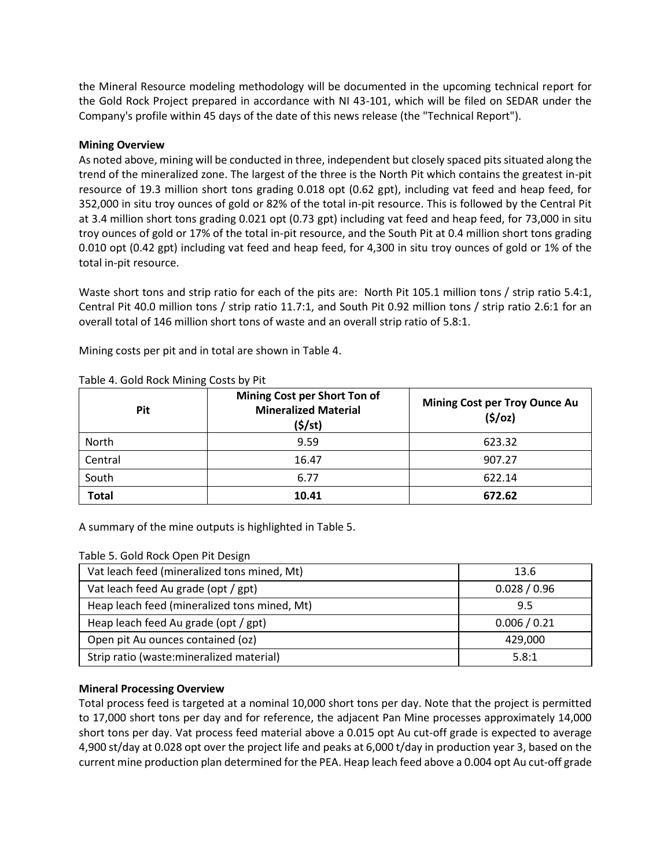the Mineral Resource modeling methodology will be documented in the upcoming technical report for the Gold Rock Project prepared in accordance with NI 43-101, which will be filed on SEDAR under the Company's profile within 45 days of the date of this news release (the "Technical Report").

# **Mining Overview**

As noted above, mining will be conducted in three, independent but closely spaced pits situated along the trend of the mineralized zone. The largest of the three is the North Pit which contains the greatest in-pit resource of 19.3 million short tons grading 0.018 opt (0.62 gpt), including vat feed and heap feed, for 352,000 in situ troy ounces of gold or 82% of the total in-pit resource. This is followed by the Central Pit at 3.4 million short tons grading 0.021 opt (0.73 gpt) including vat feed and heap feed, for 73,000 in situ troy ounces of gold or 17% of the total in-pit resource, and the South Pit at 0.4 million short tons grading 0.010 opt (0.42 gpt) including vat feed and heap feed, for 4,300 in situ troy ounces of gold or 1% of the total in-pit resource.

Waste short tons and strip ratio for each of the pits are: North Pit 105.1 million tons / strip ratio 5.4:1, Central Pit 40.0 million tons / strip ratio 11.7:1, and South Pit 0.92 million tons / strip ratio 2.6:1 for an overall total of 146 million short tons of waste and an overall strip ratio of 5.8:1.

Mining costs per pit and in total are shown in Table 4.

| Pit          | Mining Cost per Short Ton of<br><b>Mineralized Material</b><br>$($ \$/st $)$ | <b>Mining Cost per Troy Ounce Au</b><br>(5/oz) |
|--------------|------------------------------------------------------------------------------|------------------------------------------------|
| North        | 9.59                                                                         | 623.32                                         |
| Central      | 16.47                                                                        | 907.27                                         |
| South        | 6.77                                                                         | 622.14                                         |
| <b>Total</b> | 10.41                                                                        | 672.62                                         |

Table 4. Gold Rock Mining Costs by Pit

A summary of the mine outputs is highlighted in Table 5.

|  |  |  | Table 5. Gold Rock Open Pit Design |
|--|--|--|------------------------------------|
|  |  |  |                                    |

| Vat leach feed (mineralized tons mined, Mt)  | 13.6         |
|----------------------------------------------|--------------|
| Vat leach feed Au grade (opt / gpt)          | 0.028 / 0.96 |
| Heap leach feed (mineralized tons mined, Mt) | 9.5          |
| Heap leach feed Au grade (opt / gpt)         | 0.006 / 0.21 |
| Open pit Au ounces contained (oz)            | 429,000      |
| Strip ratio (waste: mineralized material)    | 5.8:1        |

# **Mineral Processing Overview**

Total process feed is targeted at a nominal 10,000 short tons per day. Note that the project is permitted to 17,000 short tons per day and for reference, the adjacent Pan Mine processes approximately 14,000 short tons per day. Vat process feed material above a 0.015 opt Au cut-off grade is expected to average 4,900 st/day at 0.028 opt over the project life and peaks at 6,000 t/day in production year 3, based on the current mine production plan determined for the PEA. Heap leach feed above a 0.004 opt Au cut-off grade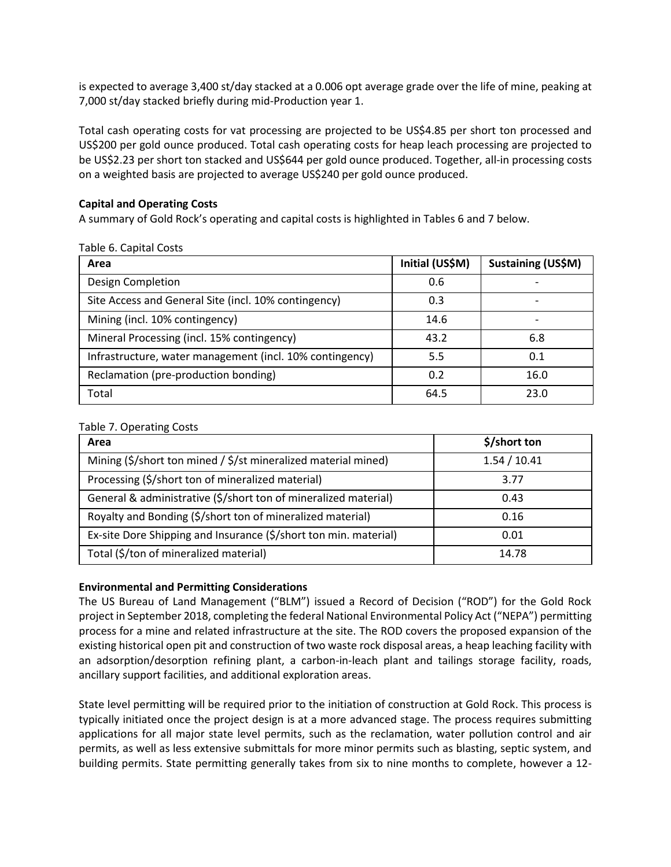is expected to average 3,400 st/day stacked at a 0.006 opt average grade over the life of mine, peaking at 7,000 st/day stacked briefly during mid-Production year 1.

Total cash operating costs for vat processing are projected to be US\$4.85 per short ton processed and US\$200 per gold ounce produced. Total cash operating costs for heap leach processing are projected to be US\$2.23 per short ton stacked and US\$644 per gold ounce produced. Together, all-in processing costs on a weighted basis are projected to average US\$240 per gold ounce produced.

# **Capital and Operating Costs**

A summary of Gold Rock's operating and capital costs is highlighted in Tables 6 and 7 below.

| Area                                                     | Initial (US\$M) | Sustaining (US\$M)       |
|----------------------------------------------------------|-----------------|--------------------------|
| Design Completion                                        | 0.6             |                          |
| Site Access and General Site (incl. 10% contingency)     | 0.3             | $\overline{\phantom{0}}$ |
| Mining (incl. 10% contingency)                           | 14.6            | $\overline{\phantom{0}}$ |
| Mineral Processing (incl. 15% contingency)               | 43.2            | 6.8                      |
| Infrastructure, water management (incl. 10% contingency) | 5.5             | 0.1                      |
| Reclamation (pre-production bonding)                     | 0.2             | 16.0                     |
| Total                                                    | 64.5            | 23.0                     |

Table 6. Capital Costs

# Table 7. Operating Costs

| Area                                                             | \$/short ton |
|------------------------------------------------------------------|--------------|
| Mining (\$/short ton mined / \$/st mineralized material mined)   | 1.54 / 10.41 |
| Processing (\$/short ton of mineralized material)                | 3.77         |
| General & administrative (\$/short ton of mineralized material)  | 0.43         |
| Royalty and Bonding (\$/short ton of mineralized material)       | 0.16         |
| Ex-site Dore Shipping and Insurance (\$/short ton min. material) | 0.01         |
| Total (\$/ton of mineralized material)                           | 14.78        |

# **Environmental and Permitting Considerations**

The US Bureau of Land Management ("BLM") issued a Record of Decision ("ROD") for the Gold Rock project in September 2018, completing the federal National Environmental Policy Act ("NEPA") permitting process for a mine and related infrastructure at the site. The ROD covers the proposed expansion of the existing historical open pit and construction of two waste rock disposal areas, a heap leaching facility with an adsorption/desorption refining plant, a carbon-in-leach plant and tailings storage facility, roads, ancillary support facilities, and additional exploration areas.

State level permitting will be required prior to the initiation of construction at Gold Rock. This process is typically initiated once the project design is at a more advanced stage. The process requires submitting applications for all major state level permits, such as the reclamation, water pollution control and air permits, as well as less extensive submittals for more minor permits such as blasting, septic system, and building permits. State permitting generally takes from six to nine months to complete, however a 12-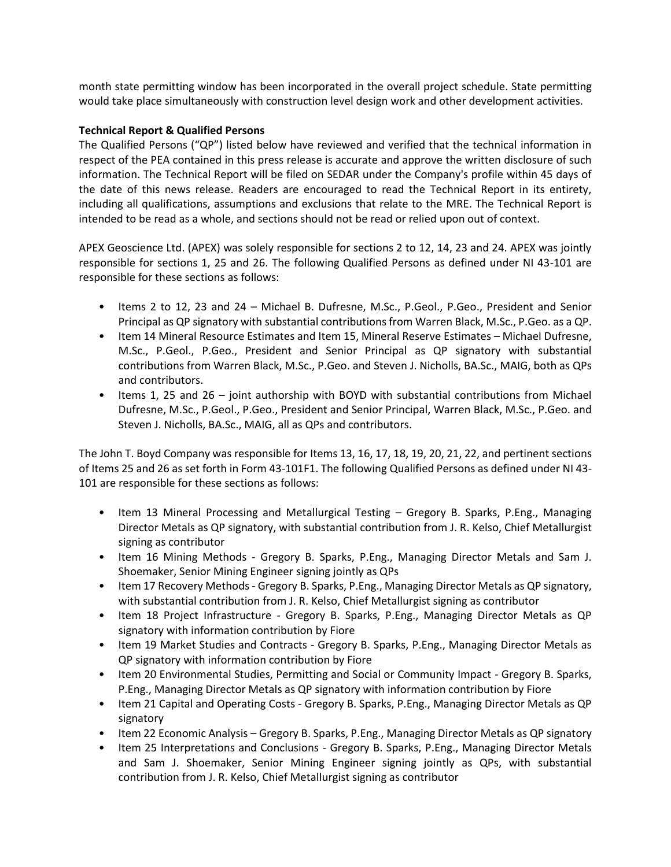month state permitting window has been incorporated in the overall project schedule. State permitting would take place simultaneously with construction level design work and other development activities.

### **Technical Report & Qualified Persons**

The Qualified Persons ("QP") listed below have reviewed and verified that the technical information in respect of the PEA contained in this press release is accurate and approve the written disclosure of such information. The Technical Report will be filed on SEDAR under the Company's profile within 45 days of the date of this news release. Readers are encouraged to read the Technical Report in its entirety, including all qualifications, assumptions and exclusions that relate to the MRE. The Technical Report is intended to be read as a whole, and sections should not be read or relied upon out of context.

APEX Geoscience Ltd. (APEX) was solely responsible for sections 2 to 12, 14, 23 and 24. APEX was jointly responsible for sections 1, 25 and 26. The following Qualified Persons as defined under NI 43-101 are responsible for these sections as follows:

- Items 2 to 12, 23 and 24 Michael B. Dufresne, M.Sc., P.Geol., P.Geo., President and Senior Principal as QP signatory with substantial contributions from Warren Black, M.Sc., P.Geo. as a QP.
- Item 14 Mineral Resource Estimates and Item 15, Mineral Reserve Estimates Michael Dufresne, M.Sc., P.Geol., P.Geo., President and Senior Principal as QP signatory with substantial contributions from Warren Black, M.Sc., P.Geo. and Steven J. Nicholls, BA.Sc., MAIG, both as QPs and contributors.
- Items 1, 25 and 26 joint authorship with BOYD with substantial contributions from Michael Dufresne, M.Sc., P.Geol., P.Geo., President and Senior Principal, Warren Black, M.Sc., P.Geo. and Steven J. Nicholls, BA.Sc., MAIG, all as QPs and contributors.

The John T. Boyd Company was responsible for Items 13, 16, 17, 18, 19, 20, 21, 22, and pertinent sections of Items 25 and 26 as set forth in Form 43-101F1. The following Qualified Persons as defined under NI 43- 101 are responsible for these sections as follows:

- Item 13 Mineral Processing and Metallurgical Testing Gregory B. Sparks, P.Eng., Managing Director Metals as QP signatory, with substantial contribution from J. R. Kelso, Chief Metallurgist signing as contributor
- Item 16 Mining Methods Gregory B. Sparks, P.Eng., Managing Director Metals and Sam J. Shoemaker, Senior Mining Engineer signing jointly as QPs
- Item 17 Recovery Methods Gregory B. Sparks, P.Eng., Managing Director Metals as QP signatory, with substantial contribution from J. R. Kelso, Chief Metallurgist signing as contributor
- Item 18 Project Infrastructure Gregory B. Sparks, P.Eng., Managing Director Metals as QP signatory with information contribution by Fiore
- Item 19 Market Studies and Contracts Gregory B. Sparks, P.Eng., Managing Director Metals as QP signatory with information contribution by Fiore
- Item 20 Environmental Studies, Permitting and Social or Community Impact Gregory B. Sparks, P.Eng., Managing Director Metals as QP signatory with information contribution by Fiore
- Item 21 Capital and Operating Costs Gregory B. Sparks, P.Eng., Managing Director Metals as QP signatory
- Item 22 Economic Analysis Gregory B. Sparks, P.Eng., Managing Director Metals as QP signatory
- Item 25 Interpretations and Conclusions Gregory B. Sparks, P.Eng., Managing Director Metals and Sam J. Shoemaker, Senior Mining Engineer signing jointly as QPs, with substantial contribution from J. R. Kelso, Chief Metallurgist signing as contributor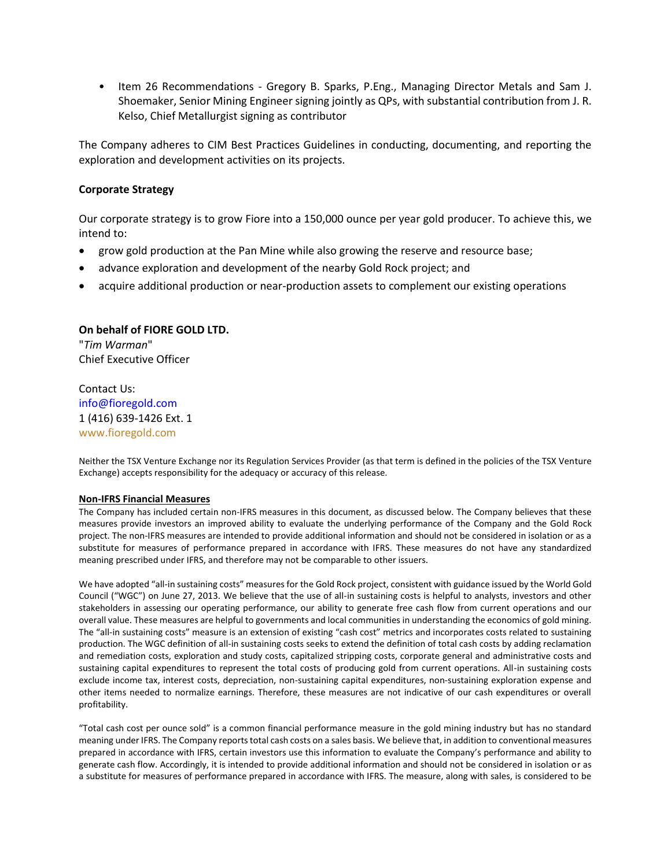• Item 26 Recommendations - Gregory B. Sparks, P.Eng., Managing Director Metals and Sam J. Shoemaker, Senior Mining Engineer signing jointly as QPs, with substantial contribution from J. R. Kelso, Chief Metallurgist signing as contributor

The Company adheres to CIM Best Practices Guidelines in conducting, documenting, and reporting the exploration and development activities on its projects.

#### **Corporate Strategy**

Our corporate strategy is to grow Fiore into a 150,000 ounce per year gold producer. To achieve this, we intend to:

- grow gold production at the Pan Mine while also growing the reserve and resource base;
- advance exploration and development of the nearby Gold Rock project; and
- acquire additional production or near-production assets to complement our existing operations

# **On behalf of FIORE GOLD LTD.**  "*Tim Warman*" Chief Executive Officer

Contact Us: info@fioregold.com 1 (416) 639-1426 Ext. 1 [www.fioregold.com](http://www.fioregold.com/)

Neither the TSX Venture Exchange nor its Regulation Services Provider (as that term is defined in the policies of the TSX Venture Exchange) accepts responsibility for the adequacy or accuracy of this release.

#### **Non-IFRS Financial Measures**

The Company has included certain non-IFRS measures in this document, as discussed below. The Company believes that these measures provide investors an improved ability to evaluate the underlying performance of the Company and the Gold Rock project. The non-IFRS measures are intended to provide additional information and should not be considered in isolation or as a substitute for measures of performance prepared in accordance with IFRS. These measures do not have any standardized meaning prescribed under IFRS, and therefore may not be comparable to other issuers.

We have adopted "all-in sustaining costs" measures for the Gold Rock project, consistent with guidance issued by the World Gold Council ("WGC") on June 27, 2013. We believe that the use of all-in sustaining costs is helpful to analysts, investors and other stakeholders in assessing our operating performance, our ability to generate free cash flow from current operations and our overall value. These measures are helpful to governments and local communities in understanding the economics of gold mining. The "all-in sustaining costs" measure is an extension of existing "cash cost" metrics and incorporates costs related to sustaining production. The WGC definition of all-in sustaining costs seeks to extend the definition of total cash costs by adding reclamation and remediation costs, exploration and study costs, capitalized stripping costs, corporate general and administrative costs and sustaining capital expenditures to represent the total costs of producing gold from current operations. All-in sustaining costs exclude income tax, interest costs, depreciation, non-sustaining capital expenditures, non-sustaining exploration expense and other items needed to normalize earnings. Therefore, these measures are not indicative of our cash expenditures or overall profitability.

"Total cash cost per ounce sold" is a common financial performance measure in the gold mining industry but has no standard meaning under IFRS. The Company reports total cash costs on a sales basis. We believe that, in addition to conventional measures prepared in accordance with IFRS, certain investors use this information to evaluate the Company's performance and ability to generate cash flow. Accordingly, it is intended to provide additional information and should not be considered in isolation or as a substitute for measures of performance prepared in accordance with IFRS. The measure, along with sales, is considered to be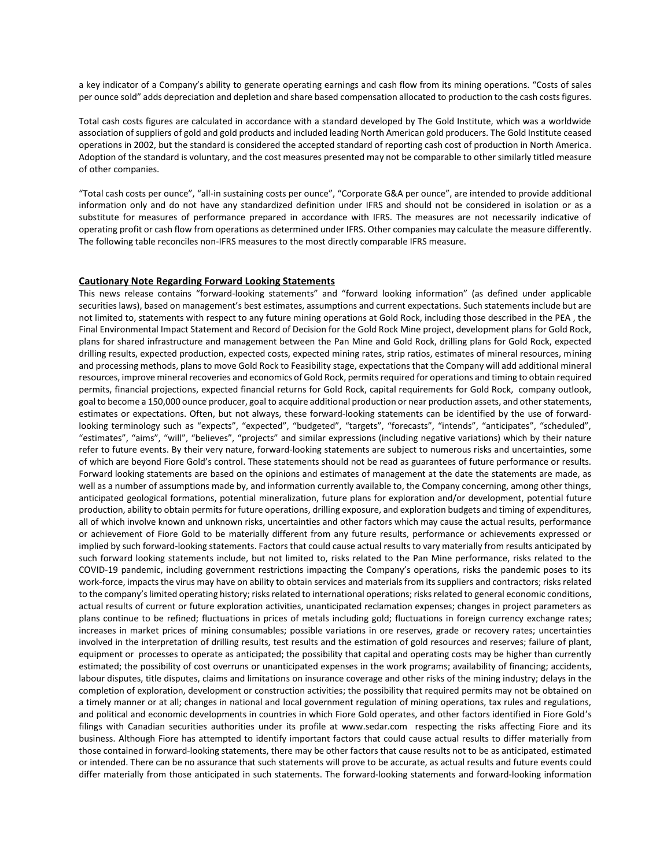a key indicator of a Company's ability to generate operating earnings and cash flow from its mining operations. "Costs of sales per ounce sold" adds depreciation and depletion and share based compensation allocated to production to the cash costs figures.

Total cash costs figures are calculated in accordance with a standard developed by The Gold Institute, which was a worldwide association of suppliers of gold and gold products and included leading North American gold producers. The Gold Institute ceased operations in 2002, but the standard is considered the accepted standard of reporting cash cost of production in North America. Adoption of the standard is voluntary, and the cost measures presented may not be comparable to other similarly titled measure of other companies.

"Total cash costs per ounce", "all-in sustaining costs per ounce", "Corporate G&A per ounce", are intended to provide additional information only and do not have any standardized definition under IFRS and should not be considered in isolation or as a substitute for measures of performance prepared in accordance with IFRS. The measures are not necessarily indicative of operating profit or cash flow from operations as determined under IFRS. Other companies may calculate the measure differently. The following table reconciles non-IFRS measures to the most directly comparable IFRS measure.

#### **Cautionary Note Regarding Forward Looking Statements**

This news release contains "forward-looking statements" and "forward looking information" (as defined under applicable securities laws), based on management's best estimates, assumptions and current expectations. Such statements include but are not limited to, statements with respect to any future mining operations at Gold Rock, including those described in the PEA , the Final Environmental Impact Statement and Record of Decision for the Gold Rock Mine project, development plans for Gold Rock, plans for shared infrastructure and management between the Pan Mine and Gold Rock, drilling plans for Gold Rock, expected drilling results, expected production, expected costs, expected mining rates, strip ratios, estimates of mineral resources, mining and processing methods, plans to move Gold Rock to Feasibility stage, expectations that the Company will add additional mineral resources, improve mineral recoveries and economics of Gold Rock, permits required for operations and timing to obtain required permits, financial projections, expected financial returns for Gold Rock, capital requirements for Gold Rock, company outlook, goal to become a 150,000 ounce producer, goal to acquire additional production or near production assets, and other statements, estimates or expectations. Often, but not always, these forward-looking statements can be identified by the use of forwardlooking terminology such as "expects", "expected", "budgeted", "targets", "forecasts", "intends", "anticipates", "scheduled", "estimates", "aims", "will", "believes", "projects" and similar expressions (including negative variations) which by their nature refer to future events. By their very nature, forward-looking statements are subject to numerous risks and uncertainties, some of which are beyond Fiore Gold's control. These statements should not be read as guarantees of future performance or results. Forward looking statements are based on the opinions and estimates of management at the date the statements are made, as well as a number of assumptions made by, and information currently available to, the Company concerning, among other things, anticipated geological formations, potential mineralization, future plans for exploration and/or development, potential future production, ability to obtain permits for future operations, drilling exposure, and exploration budgets and timing of expenditures, all of which involve known and unknown risks, uncertainties and other factors which may cause the actual results, performance or achievement of Fiore Gold to be materially different from any future results, performance or achievements expressed or implied by such forward-looking statements. Factors that could cause actual results to vary materially from results anticipated by such forward looking statements include, but not limited to, risks related to the Pan Mine performance, risks related to the COVID-19 pandemic, including government restrictions impacting the Company's operations, risks the pandemic poses to its work-force, impacts the virus may have on ability to obtain services and materials from its suppliers and contractors; risks related to the company's limited operating history; risks related to international operations; risks related to general economic conditions, actual results of current or future exploration activities, unanticipated reclamation expenses; changes in project parameters as plans continue to be refined; fluctuations in prices of metals including gold; fluctuations in foreign currency exchange rates; increases in market prices of mining consumables; possible variations in ore reserves, grade or recovery rates; uncertainties involved in the interpretation of drilling results, test results and the estimation of gold resources and reserves; failure of plant, equipment or processes to operate as anticipated; the possibility that capital and operating costs may be higher than currently estimated; the possibility of cost overruns or unanticipated expenses in the work programs; availability of financing; accidents, labour disputes, title disputes, claims and limitations on insurance coverage and other risks of the mining industry; delays in the completion of exploration, development or construction activities; the possibility that required permits may not be obtained on a timely manner or at all; changes in national and local government regulation of mining operations, tax rules and regulations, and political and economic developments in countries in which Fiore Gold operates, and other factors identified in Fiore Gold's filings with Canadian securities authorities under its profile at www.sedar.com respecting the risks affecting Fiore and its business. Although Fiore has attempted to identify important factors that could cause actual results to differ materially from those contained in forward-looking statements, there may be other factors that cause results not to be as anticipated, estimated or intended. There can be no assurance that such statements will prove to be accurate, as actual results and future events could differ materially from those anticipated in such statements. The forward-looking statements and forward-looking information